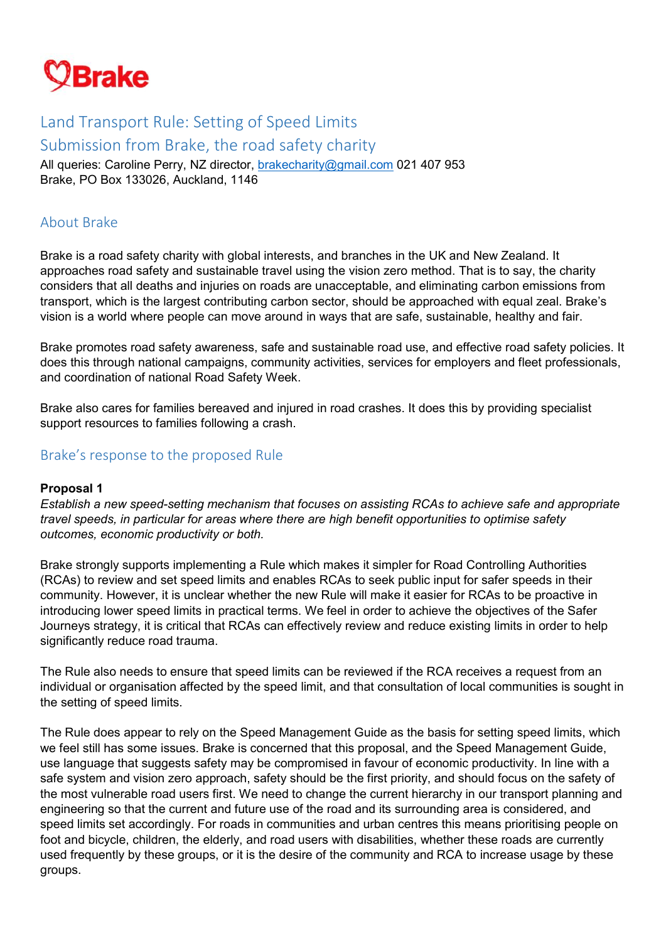

# Land Transport Rule: Setting of Speed Limits Submission from Brake, the road safety charity All queries: Caroline Perry, NZ director, brakecharity@gmail.com 021 407 953

Brake, PO Box 133026, Auckland, 1146

# About Brake

Brake is a road safety charity with global interests, and branches in the UK and New Zealand. It approaches road safety and sustainable travel using the vision zero method. That is to say, the charity considers that all deaths and injuries on roads are unacceptable, and eliminating carbon emissions from transport, which is the largest contributing carbon sector, should be approached with equal zeal. Brake's vision is a world where people can move around in ways that are safe, sustainable, healthy and fair.

Brake promotes road safety awareness, safe and sustainable road use, and effective road safety policies. It does this through national campaigns, community activities, services for employers and fleet professionals, and coordination of national Road Safety Week.

Brake also cares for families bereaved and injured in road crashes. It does this by providing specialist support resources to families following a crash.

# Brake's response to the proposed Rule

# **Proposal 1**

*Establish a new speed-setting mechanism that focuses on assisting RCAs to achieve safe and appropriate travel speeds, in particular for areas where there are high benefit opportunities to optimise safety outcomes, economic productivity or both.*

Brake strongly supports implementing a Rule which makes it simpler for Road Controlling Authorities (RCAs) to review and set speed limits and enables RCAs to seek public input for safer speeds in their community. However, it is unclear whether the new Rule will make it easier for RCAs to be proactive in introducing lower speed limits in practical terms. We feel in order to achieve the objectives of the Safer Journeys strategy, it is critical that RCAs can effectively review and reduce existing limits in order to help significantly reduce road trauma.

The Rule also needs to ensure that speed limits can be reviewed if the RCA receives a request from an individual or organisation affected by the speed limit, and that consultation of local communities is sought in the setting of speed limits.

The Rule does appear to rely on the Speed Management Guide as the basis for setting speed limits, which we feel still has some issues. Brake is concerned that this proposal, and the Speed Management Guide, use language that suggests safety may be compromised in favour of economic productivity. In line with a safe system and vision zero approach, safety should be the first priority, and should focus on the safety of the most vulnerable road users first. We need to change the current hierarchy in our transport planning and engineering so that the current and future use of the road and its surrounding area is considered, and speed limits set accordingly. For roads in communities and urban centres this means prioritising people on foot and bicycle, children, the elderly, and road users with disabilities, whether these roads are currently used frequently by these groups, or it is the desire of the community and RCA to increase usage by these groups.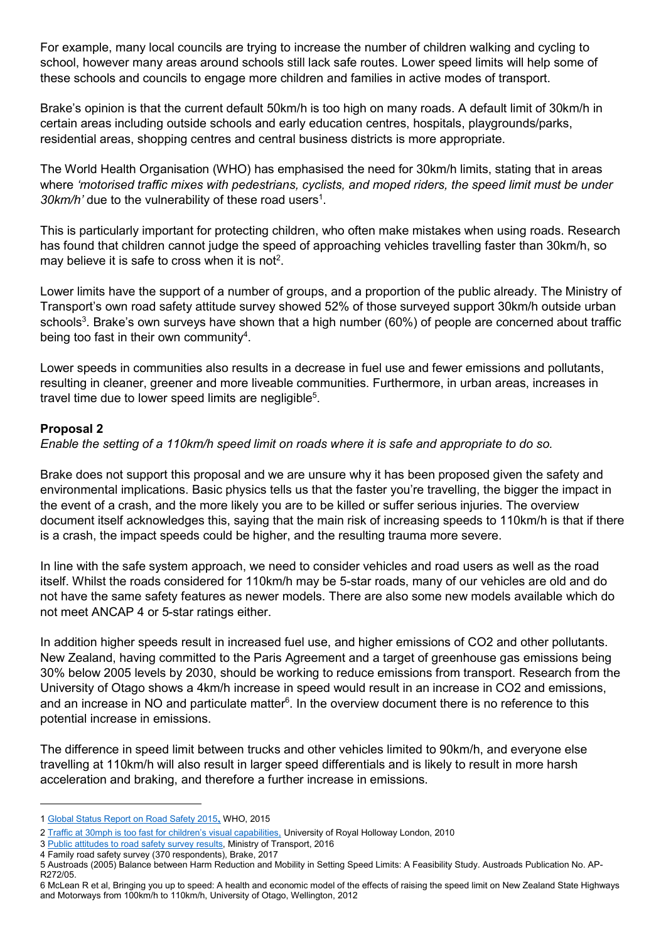For example, many local councils are trying to increase the number of children walking and cycling to school, however many areas around schools still lack safe routes. Lower speed limits will help some of these schools and councils to engage more children and families in active modes of transport.

Brake's opinion is that the current default 50km/h is too high on many roads. A default limit of 30km/h in certain areas including outside schools and early education centres, hospitals, playgrounds/parks, residential areas, shopping centres and central business districts is more appropriate.

The World Health Organisation (WHO) has emphasised the need for 30km/h limits, stating that in areas where *'motorised traffic mixes with pedestrians, cyclists, and moped riders, the speed limit must be under*  30km/h' due to the vulnerability of these road users<sup>1</sup>.

This is particularly important for protecting children, who often make mistakes when using roads. Research has found that children cannot judge the speed of approaching vehicles travelling faster than 30km/h, so may believe it is safe to cross when it is not<sup>2</sup>.

Lower limits have the support of a number of groups, and a proportion of the public already. The Ministry of Transport's own road safety attitude survey showed 52% of those surveyed support 30km/h outside urban schools<sup>3</sup>. Brake's own surveys have shown that a high number (60%) of people are concerned about traffic being too fast in their own community<sup>4</sup>.

Lower speeds in communities also results in a decrease in fuel use and fewer emissions and pollutants, resulting in cleaner, greener and more liveable communities. Furthermore, in urban areas, increases in travel time due to lower speed limits are negligible<sup>5</sup>.

## **Proposal 2**

**.** 

*Enable the setting of a 110km/h speed limit on roads where it is safe and appropriate to do so.*

Brake does not support this proposal and we are unsure why it has been proposed given the safety and environmental implications. Basic physics tells us that the faster you're travelling, the bigger the impact in the event of a crash, and the more likely you are to be killed or suffer serious injuries. The overview document itself acknowledges this, saying that the main risk of increasing speeds to 110km/h is that if there is a crash, the impact speeds could be higher, and the resulting trauma more severe.

In line with the safe system approach, we need to consider vehicles and road users as well as the road itself. Whilst the roads considered for 110km/h may be 5-star roads, many of our vehicles are old and do not have the same safety features as newer models. There are also some new models available which do not meet ANCAP 4 or 5-star ratings either.

In addition higher speeds result in increased fuel use, and higher emissions of CO2 and other pollutants. New Zealand, having committed to the Paris Agreement and a target of greenhouse gas emissions being 30% below 2005 levels by 2030, should be working to reduce emissions from transport. Research from the University of Otago shows a 4km/h increase in speed would result in an increase in CO2 and emissions, and an increase in NO and particulate matter $6$ . In the overview document there is no reference to this potential increase in emissions.

The difference in speed limit between trucks and other vehicles limited to 90km/h, and everyone else travelling at 110km/h will also result in larger speed differentials and is likely to result in more harsh acceleration and braking, and therefore a further increase in emissions.

4 Family road safety survey (370 respondents), Brake, 2017

<sup>1</sup> Global Status Report on Road Safety 2015, WHO, 2015

<sup>2</sup> Traffic at 30mph is too fast for children's visual capabilities, University of Royal Holloway London, 2010

<sup>3</sup> Public attitudes to road safety survey results, Ministry of Transport, 2016

<sup>5</sup> Austroads (2005) Balance between Harm Reduction and Mobility in Setting Speed Limits: A Feasibility Study. Austroads Publication No. AP-R272/05.

<sup>6</sup> McLean R et al, Bringing you up to speed: A health and economic model of the effects of raising the speed limit on New Zealand State Highways and Motorways from 100km/h to 110km/h, University of Otago, Wellington, 2012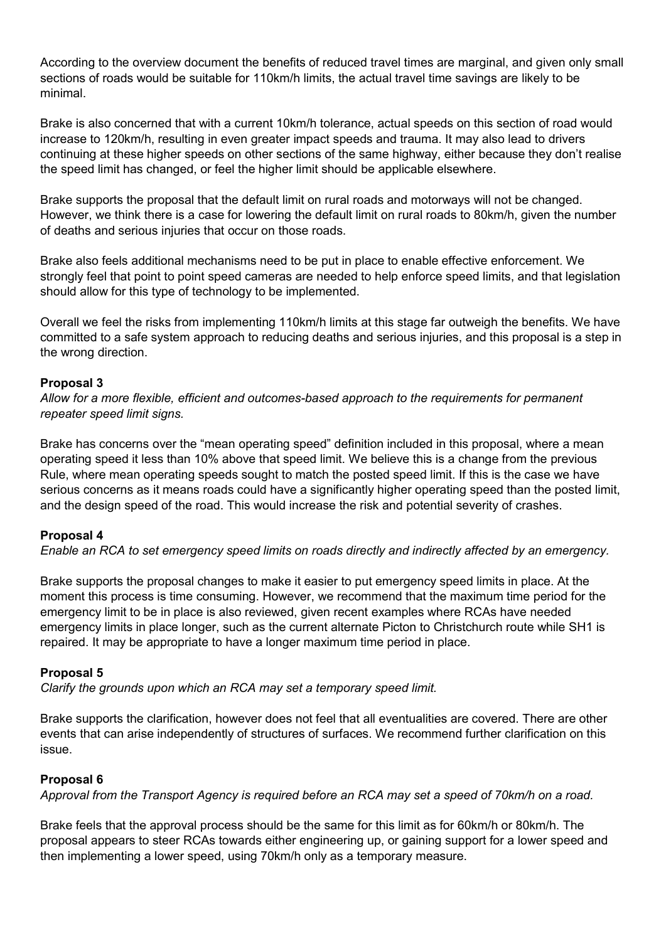According to the overview document the benefits of reduced travel times are marginal, and given only small sections of roads would be suitable for 110km/h limits, the actual travel time savings are likely to be minimal.

Brake is also concerned that with a current 10km/h tolerance, actual speeds on this section of road would increase to 120km/h, resulting in even greater impact speeds and trauma. It may also lead to drivers continuing at these higher speeds on other sections of the same highway, either because they don't realise the speed limit has changed, or feel the higher limit should be applicable elsewhere.

Brake supports the proposal that the default limit on rural roads and motorways will not be changed. However, we think there is a case for lowering the default limit on rural roads to 80km/h, given the number of deaths and serious injuries that occur on those roads.

Brake also feels additional mechanisms need to be put in place to enable effective enforcement. We strongly feel that point to point speed cameras are needed to help enforce speed limits, and that legislation should allow for this type of technology to be implemented.

Overall we feel the risks from implementing 110km/h limits at this stage far outweigh the benefits. We have committed to a safe system approach to reducing deaths and serious injuries, and this proposal is a step in the wrong direction.

## **Proposal 3**

*Allow for a more flexible, efficient and outcomes-based approach to the requirements for permanent repeater speed limit signs.*

Brake has concerns over the "mean operating speed" definition included in this proposal, where a mean operating speed it less than 10% above that speed limit. We believe this is a change from the previous Rule, where mean operating speeds sought to match the posted speed limit. If this is the case we have serious concerns as it means roads could have a significantly higher operating speed than the posted limit, and the design speed of the road. This would increase the risk and potential severity of crashes.

#### **Proposal 4**

*Enable an RCA to set emergency speed limits on roads directly and indirectly affected by an emergency.*

Brake supports the proposal changes to make it easier to put emergency speed limits in place. At the moment this process is time consuming. However, we recommend that the maximum time period for the emergency limit to be in place is also reviewed, given recent examples where RCAs have needed emergency limits in place longer, such as the current alternate Picton to Christchurch route while SH1 is repaired. It may be appropriate to have a longer maximum time period in place.

#### **Proposal 5**

*Clarify the grounds upon which an RCA may set a temporary speed limit.*

Brake supports the clarification, however does not feel that all eventualities are covered. There are other events that can arise independently of structures of surfaces. We recommend further clarification on this issue.

#### **Proposal 6**

*Approval from the Transport Agency is required before an RCA may set a speed of 70km/h on a road.*

Brake feels that the approval process should be the same for this limit as for 60km/h or 80km/h. The proposal appears to steer RCAs towards either engineering up, or gaining support for a lower speed and then implementing a lower speed, using 70km/h only as a temporary measure.